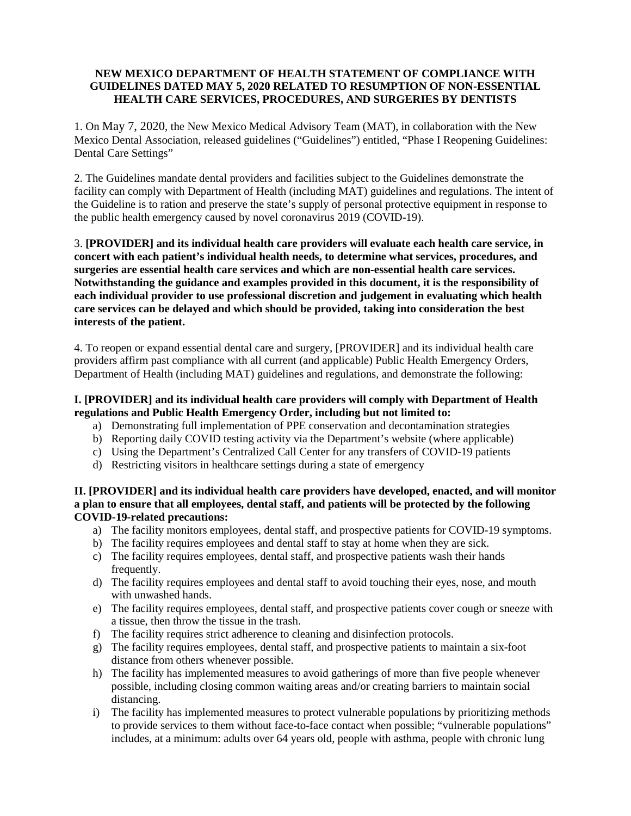# **NEW MEXICO DEPARTMENT OF HEALTH STATEMENT OF COMPLIANCE WITH GUIDELINES DATED MAY 5, 2020 RELATED TO RESUMPTION OF NON-ESSENTIAL HEALTH CARE SERVICES, PROCEDURES, AND SURGERIES BY DENTISTS**

1. On May 7, 2020, the New Mexico Medical Advisory Team (MAT), in collaboration with the New Mexico Dental Association, released guidelines ("Guidelines") entitled, "Phase I Reopening Guidelines: Dental Care Settings"

2. The Guidelines mandate dental providers and facilities subject to the Guidelines demonstrate the facility can comply with Department of Health (including MAT) guidelines and regulations. The intent of the Guideline is to ration and preserve the state's supply of personal protective equipment in response to the public health emergency caused by novel coronavirus 2019 (COVID-19).

3. **[PROVIDER] and its individual health care providers will evaluate each health care service, in concert with each patient's individual health needs, to determine what services, procedures, and surgeries are essential health care services and which are non-essential health care services. Notwithstanding the guidance and examples provided in this document, it is the responsibility of each individual provider to use professional discretion and judgement in evaluating which health care services can be delayed and which should be provided, taking into consideration the best interests of the patient.** 

4. To reopen or expand essential dental care and surgery, [PROVIDER] and its individual health care providers affirm past compliance with all current (and applicable) Public Health Emergency Orders, Department of Health (including MAT) guidelines and regulations, and demonstrate the following:

# **I. [PROVIDER] and its individual health care providers will comply with Department of Health regulations and Public Health Emergency Order, including but not limited to:**

- a) Demonstrating full implementation of PPE conservation and decontamination strategies
- b) Reporting daily COVID testing activity via the Department's website (where applicable)
- c) Using the Department's Centralized Call Center for any transfers of COVID-19 patients
- d) Restricting visitors in healthcare settings during a state of emergency

#### **II. [PROVIDER] and its individual health care providers have developed, enacted, and will monitor a plan to ensure that all employees, dental staff, and patients will be protected by the following COVID-19-related precautions:**

- a) The facility monitors employees, dental staff, and prospective patients for COVID-19 symptoms.
- b) The facility requires employees and dental staff to stay at home when they are sick.
- c) The facility requires employees, dental staff, and prospective patients wash their hands frequently.
- d) The facility requires employees and dental staff to avoid touching their eyes, nose, and mouth with unwashed hands.
- e) The facility requires employees, dental staff, and prospective patients cover cough or sneeze with a tissue, then throw the tissue in the trash.
- f) The facility requires strict adherence to cleaning and disinfection protocols.
- g) The facility requires employees, dental staff, and prospective patients to maintain a six-foot distance from others whenever possible.
- h) The facility has implemented measures to avoid gatherings of more than five people whenever possible, including closing common waiting areas and/or creating barriers to maintain social distancing.
- i) The facility has implemented measures to protect vulnerable populations by prioritizing methods to provide services to them without face-to-face contact when possible; "vulnerable populations" includes, at a minimum: adults over 64 years old, people with asthma, people with chronic lung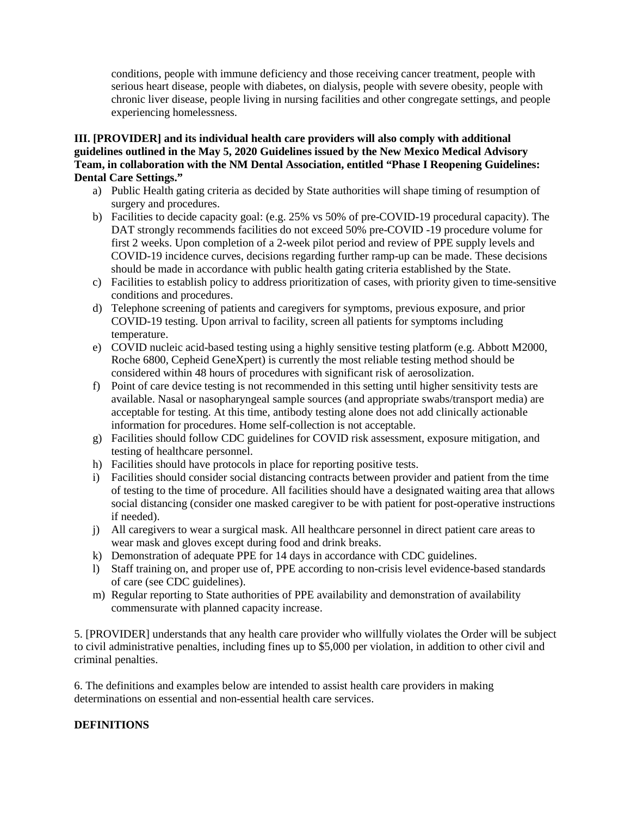conditions, people with immune deficiency and those receiving cancer treatment, people with serious heart disease, people with diabetes, on dialysis, people with severe obesity, people with chronic liver disease, people living in nursing facilities and other congregate settings, and people experiencing homelessness.

### **III. [PROVIDER] and its individual health care providers will also comply with additional guidelines outlined in the May 5, 2020 Guidelines issued by the New Mexico Medical Advisory Team, in collaboration with the NM Dental Association, entitled "Phase I Reopening Guidelines: Dental Care Settings."**

- a) Public Health gating criteria as decided by State authorities will shape timing of resumption of surgery and procedures.
- b) Facilities to decide capacity goal: (e.g. 25% vs 50% of pre-COVID-19 procedural capacity). The DAT strongly recommends facilities do not exceed 50% pre-COVID -19 procedure volume for first 2 weeks. Upon completion of a 2-week pilot period and review of PPE supply levels and COVID-19 incidence curves, decisions regarding further ramp-up can be made. These decisions should be made in accordance with public health gating criteria established by the State.
- c) Facilities to establish policy to address prioritization of cases, with priority given to time-sensitive conditions and procedures.
- d) Telephone screening of patients and caregivers for symptoms, previous exposure, and prior COVID-19 testing. Upon arrival to facility, screen all patients for symptoms including temperature.
- e) COVID nucleic acid-based testing using a highly sensitive testing platform (e.g. Abbott M2000, Roche 6800, Cepheid GeneXpert) is currently the most reliable testing method should be considered within 48 hours of procedures with significant risk of aerosolization.
- f) Point of care device testing is not recommended in this setting until higher sensitivity tests are available. Nasal or nasopharyngeal sample sources (and appropriate swabs/transport media) are acceptable for testing. At this time, antibody testing alone does not add clinically actionable information for procedures. Home self-collection is not acceptable.
- g) Facilities should follow CDC guidelines for COVID risk assessment, exposure mitigation, and testing of healthcare personnel.
- h) Facilities should have protocols in place for reporting positive tests.
- i) Facilities should consider social distancing contracts between provider and patient from the time of testing to the time of procedure. All facilities should have a designated waiting area that allows social distancing (consider one masked caregiver to be with patient for post-operative instructions if needed).
- j) All caregivers to wear a surgical mask. All healthcare personnel in direct patient care areas to wear mask and gloves except during food and drink breaks.
- k) Demonstration of adequate PPE for 14 days in accordance with CDC guidelines.
- l) Staff training on, and proper use of, PPE according to non-crisis level evidence-based standards of care (see CDC guidelines).
- m) Regular reporting to State authorities of PPE availability and demonstration of availability commensurate with planned capacity increase.

5. [PROVIDER] understands that any health care provider who willfully violates the Order will be subject to civil administrative penalties, including fines up to \$5,000 per violation, in addition to other civil and criminal penalties.

6. The definitions and examples below are intended to assist health care providers in making determinations on essential and non-essential health care services.

# **DEFINITIONS**